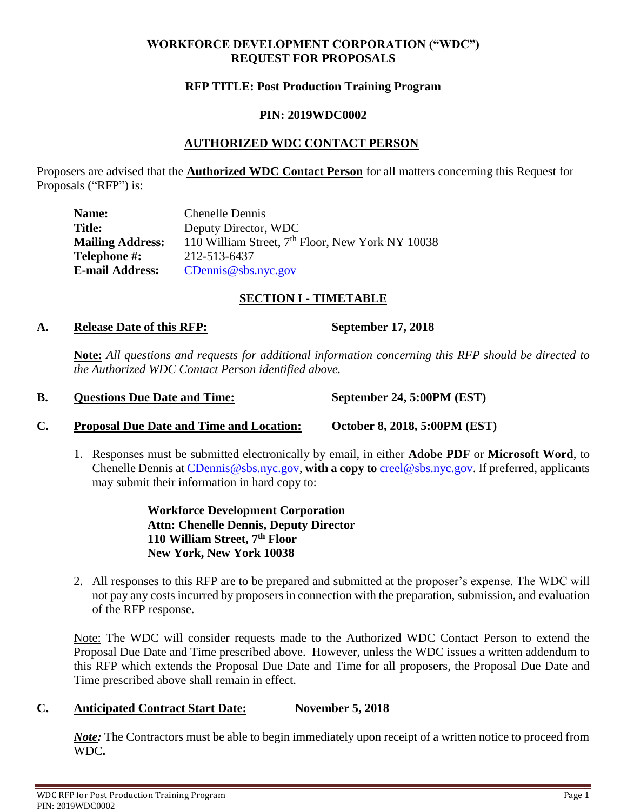### **WORKFORCE DEVELOPMENT CORPORATION ("WDC") REQUEST FOR PROPOSALS**

#### **RFP TITLE: Post Production Training Program**

#### **PIN: 2019WDC0002**

### **AUTHORIZED WDC CONTACT PERSON**

Proposers are advised that the **Authorized WDC Contact Person** for all matters concerning this Request for Proposals ("RFP") is:

| Name:                   | <b>Chenelle Dennis</b>                                       |
|-------------------------|--------------------------------------------------------------|
| <b>Title:</b>           | Deputy Director, WDC                                         |
| <b>Mailing Address:</b> | 110 William Street, 7 <sup>th</sup> Floor, New York NY 10038 |
| <b>Telephone #:</b>     | 212-513-6437                                                 |
| <b>E-mail Address:</b>  | CDennis@sbs.nyc.gov                                          |

### **SECTION I - TIMETABLE**

#### **A. Release Date of this RFP: September 17, 2018**

**Note:** *All questions and requests for additional information concerning this RFP should be directed to the Authorized WDC Contact Person identified above.*

| B. | <b>Questions Due Date and Time:</b> | September 24, 5:00PM (EST) |
|----|-------------------------------------|----------------------------|
|----|-------------------------------------|----------------------------|

- **C. Proposal Due Date and Time and Location: October 8, 2018, 5:00PM (EST)**
	- 1. Responses must be submitted electronically by email, in either **Adobe PDF** or **Microsoft Word**, to Chenelle Dennis at [CDennis@sbs.nyc.gov,](mailto:CDennis@sbs.nyc.gov) **with a copy to** [creel@sbs.nyc.gov.](mailto:creel@sbs.nyc.gov) If preferred, applicants may submit their information in hard copy to:

**Workforce Development Corporation Attn: Chenelle Dennis, Deputy Director 110 William Street, 7 th Floor New York, New York 10038** 

2. All responses to this RFP are to be prepared and submitted at the proposer's expense. The WDC will not pay any costs incurred by proposers in connection with the preparation, submission, and evaluation of the RFP response.

Note: The WDC will consider requests made to the Authorized WDC Contact Person to extend the Proposal Due Date and Time prescribed above. However, unless the WDC issues a written addendum to this RFP which extends the Proposal Due Date and Time for all proposers, the Proposal Due Date and Time prescribed above shall remain in effect.

#### **C. Anticipated Contract Start Date: November 5, 2018**

*Note*: The Contractors must be able to begin immediately upon receipt of a written notice to proceed from WDC**.**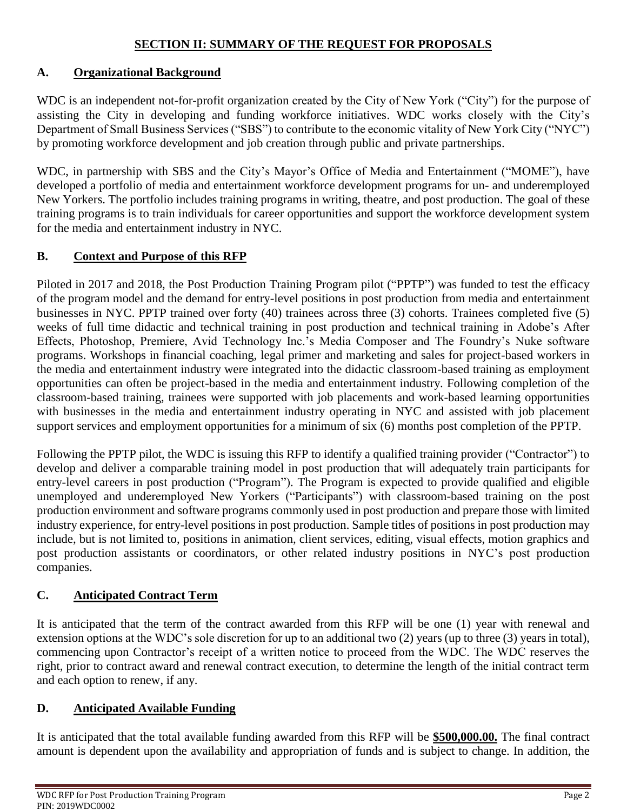## **SECTION II: SUMMARY OF THE REQUEST FOR PROPOSALS**

## **A. Organizational Background**

WDC is an independent not-for-profit organization created by the City of New York ("City") for the purpose of assisting the City in developing and funding workforce initiatives. WDC works closely with the City's Department of Small Business Services ("SBS") to contribute to the economic vitality of New York City ("NYC") by promoting workforce development and job creation through public and private partnerships.

WDC, in partnership with SBS and the City's Mayor's Office of Media and Entertainment ("MOME"), have developed a portfolio of media and entertainment workforce development programs for un- and underemployed New Yorkers. The portfolio includes training programs in writing, theatre, and post production. The goal of these training programs is to train individuals for career opportunities and support the workforce development system for the media and entertainment industry in NYC.

## **B. Context and Purpose of this RFP**

Piloted in 2017 and 2018, the Post Production Training Program pilot ("PPTP") was funded to test the efficacy of the program model and the demand for entry-level positions in post production from media and entertainment businesses in NYC. PPTP trained over forty (40) trainees across three (3) cohorts. Trainees completed five (5) weeks of full time didactic and technical training in post production and technical training in Adobe's After Effects, Photoshop, Premiere, Avid Technology Inc.'s Media Composer and The Foundry's Nuke software programs. Workshops in financial coaching, legal primer and marketing and sales for project-based workers in the media and entertainment industry were integrated into the didactic classroom-based training as employment opportunities can often be project-based in the media and entertainment industry. Following completion of the classroom-based training, trainees were supported with job placements and work-based learning opportunities with businesses in the media and entertainment industry operating in NYC and assisted with job placement support services and employment opportunities for a minimum of six (6) months post completion of the PPTP.

Following the PPTP pilot, the WDC is issuing this RFP to identify a qualified training provider ("Contractor") to develop and deliver a comparable training model in post production that will adequately train participants for entry-level careers in post production ("Program"). The Program is expected to provide qualified and eligible unemployed and underemployed New Yorkers ("Participants") with classroom-based training on the post production environment and software programs commonly used in post production and prepare those with limited industry experience, for entry-level positions in post production. Sample titles of positions in post production may include, but is not limited to, positions in animation, client services, editing, visual effects, motion graphics and post production assistants or coordinators, or other related industry positions in NYC's post production companies.

## **C. Anticipated Contract Term**

It is anticipated that the term of the contract awarded from this RFP will be one (1) year with renewal and extension options at the WDC's sole discretion for up to an additional two (2) years (up to three (3) years in total), commencing upon Contractor's receipt of a written notice to proceed from the WDC. The WDC reserves the right, prior to contract award and renewal contract execution, to determine the length of the initial contract term and each option to renew, if any.

### **D. Anticipated Available Funding**

It is anticipated that the total available funding awarded from this RFP will be **\$500,000.00.** The final contract amount is dependent upon the availability and appropriation of funds and is subject to change. In addition, the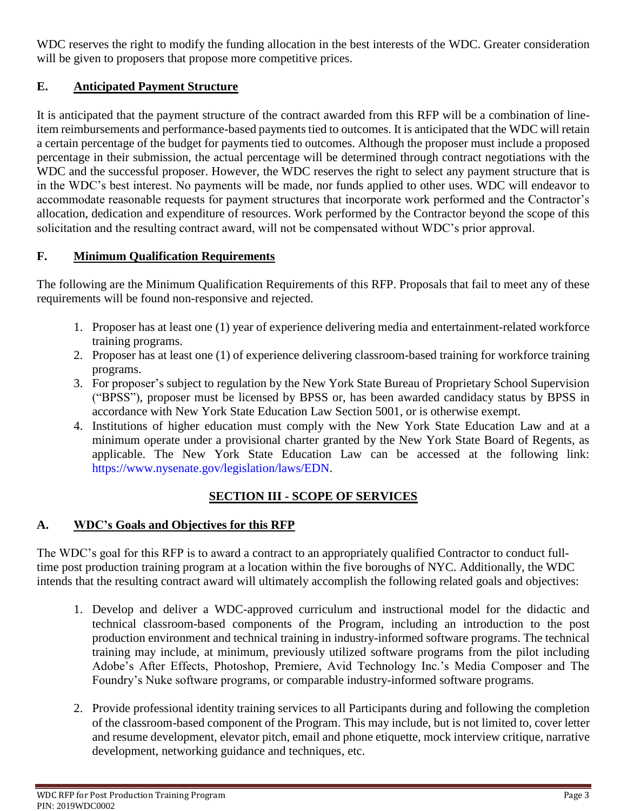WDC reserves the right to modify the funding allocation in the best interests of the WDC. Greater consideration will be given to proposers that propose more competitive prices.

# **E. Anticipated Payment Structure**

It is anticipated that the payment structure of the contract awarded from this RFP will be a combination of lineitem reimbursements and performance-based payments tied to outcomes. It is anticipated that the WDC will retain a certain percentage of the budget for payments tied to outcomes. Although the proposer must include a proposed percentage in their submission, the actual percentage will be determined through contract negotiations with the WDC and the successful proposer. However, the WDC reserves the right to select any payment structure that is in the WDC's best interest. No payments will be made, nor funds applied to other uses. WDC will endeavor to accommodate reasonable requests for payment structures that incorporate work performed and the Contractor's allocation, dedication and expenditure of resources. Work performed by the Contractor beyond the scope of this solicitation and the resulting contract award, will not be compensated without WDC's prior approval.

# **F. Minimum Qualification Requirements**

The following are the Minimum Qualification Requirements of this RFP. Proposals that fail to meet any of these requirements will be found non-responsive and rejected.

- 1. Proposer has at least one (1) year of experience delivering media and entertainment-related workforce training programs.
- 2. Proposer has at least one (1) of experience delivering classroom-based training for workforce training programs.
- 3. For proposer's subject to regulation by the New York State Bureau of Proprietary School Supervision ("BPSS"), proposer must be licensed by BPSS or, has been awarded candidacy status by BPSS in accordance with New York State Education Law Section 5001, or is otherwise exempt.
- 4. Institutions of higher education must comply with the New York State Education Law and at a minimum operate under a provisional charter granted by the New York State Board of Regents, as applicable. The New York State Education Law can be accessed at the following link: [https://www.nysenate.gov/legislation/laws/EDN.](https://www.nysenate.gov/legislation/laws/EDN)

# **SECTION III - SCOPE OF SERVICES**

## **A. WDC's Goals and Objectives for this RFP**

The WDC's goal for this RFP is to award a contract to an appropriately qualified Contractor to conduct fulltime post production training program at a location within the five boroughs of NYC. Additionally, the WDC intends that the resulting contract award will ultimately accomplish the following related goals and objectives:

- 1. Develop and deliver a WDC-approved curriculum and instructional model for the didactic and technical classroom-based components of the Program, including an introduction to the post production environment and technical training in industry-informed software programs. The technical training may include, at minimum, previously utilized software programs from the pilot including Adobe's After Effects, Photoshop, Premiere, Avid Technology Inc.'s Media Composer and The Foundry's Nuke software programs, or comparable industry-informed software programs.
- 2. Provide professional identity training services to all Participants during and following the completion of the classroom-based component of the Program. This may include, but is not limited to, cover letter and resume development, elevator pitch, email and phone etiquette, mock interview critique, narrative development, networking guidance and techniques, etc.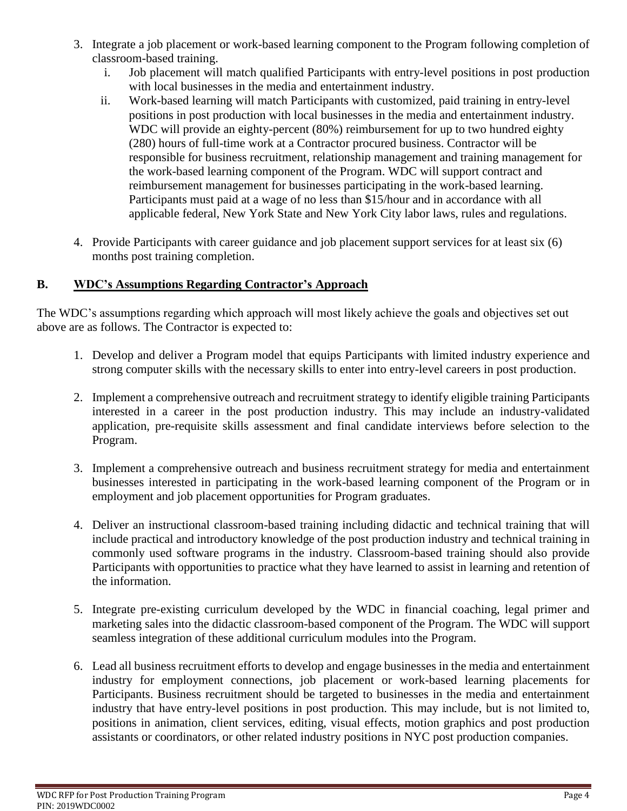- 3. Integrate a job placement or work-based learning component to the Program following completion of classroom-based training.
	- i. Job placement will match qualified Participants with entry-level positions in post production with local businesses in the media and entertainment industry.
	- ii. Work-based learning will match Participants with customized, paid training in entry-level positions in post production with local businesses in the media and entertainment industry. WDC will provide an eighty-percent (80%) reimbursement for up to two hundred eighty (280) hours of full-time work at a Contractor procured business. Contractor will be responsible for business recruitment, relationship management and training management for the work-based learning component of the Program. WDC will support contract and reimbursement management for businesses participating in the work-based learning. Participants must paid at a wage of no less than \$15/hour and in accordance with all applicable federal, New York State and New York City labor laws, rules and regulations.
- 4. Provide Participants with career guidance and job placement support services for at least six (6) months post training completion.

# **B. WDC's Assumptions Regarding Contractor's Approach**

The WDC's assumptions regarding which approach will most likely achieve the goals and objectives set out above are as follows. The Contractor is expected to:

- 1. Develop and deliver a Program model that equips Participants with limited industry experience and strong computer skills with the necessary skills to enter into entry-level careers in post production.
- 2. Implement a comprehensive outreach and recruitment strategy to identify eligible training Participants interested in a career in the post production industry. This may include an industry-validated application, pre-requisite skills assessment and final candidate interviews before selection to the Program.
- 3. Implement a comprehensive outreach and business recruitment strategy for media and entertainment businesses interested in participating in the work-based learning component of the Program or in employment and job placement opportunities for Program graduates.
- 4. Deliver an instructional classroom-based training including didactic and technical training that will include practical and introductory knowledge of the post production industry and technical training in commonly used software programs in the industry. Classroom-based training should also provide Participants with opportunities to practice what they have learned to assist in learning and retention of the information.
- 5. Integrate pre-existing curriculum developed by the WDC in financial coaching, legal primer and marketing sales into the didactic classroom-based component of the Program. The WDC will support seamless integration of these additional curriculum modules into the Program.
- 6. Lead all business recruitment efforts to develop and engage businesses in the media and entertainment industry for employment connections, job placement or work-based learning placements for Participants. Business recruitment should be targeted to businesses in the media and entertainment industry that have entry-level positions in post production. This may include, but is not limited to, positions in animation, client services, editing, visual effects, motion graphics and post production assistants or coordinators, or other related industry positions in NYC post production companies.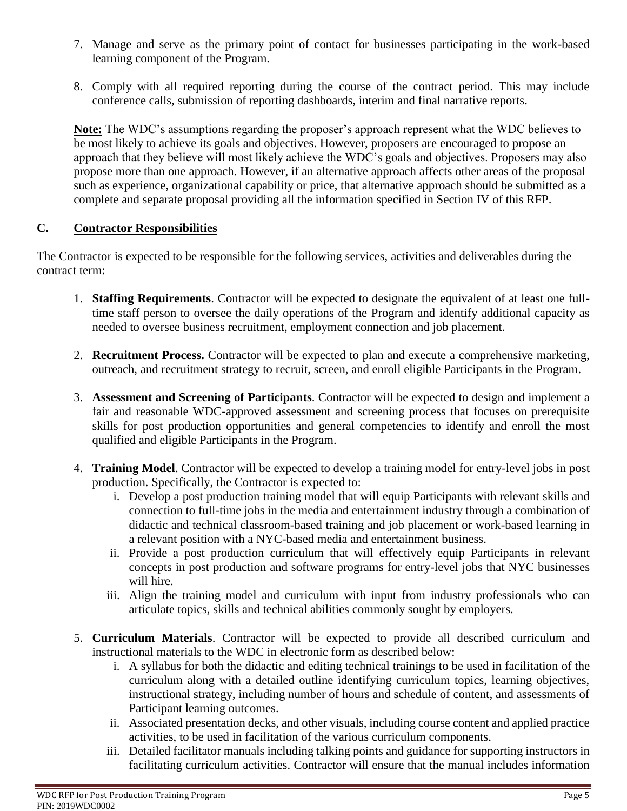- 7. Manage and serve as the primary point of contact for businesses participating in the work-based learning component of the Program.
- 8. Comply with all required reporting during the course of the contract period. This may include conference calls, submission of reporting dashboards, interim and final narrative reports.

**Note:** The WDC's assumptions regarding the proposer's approach represent what the WDC believes to be most likely to achieve its goals and objectives. However, proposers are encouraged to propose an approach that they believe will most likely achieve the WDC's goals and objectives. Proposers may also propose more than one approach. However, if an alternative approach affects other areas of the proposal such as experience, organizational capability or price, that alternative approach should be submitted as a complete and separate proposal providing all the information specified in Section IV of this RFP.

## **C. Contractor Responsibilities**

The Contractor is expected to be responsible for the following services, activities and deliverables during the contract term:

- 1. **Staffing Requirements**. Contractor will be expected to designate the equivalent of at least one fulltime staff person to oversee the daily operations of the Program and identify additional capacity as needed to oversee business recruitment, employment connection and job placement.
- 2. **Recruitment Process.** Contractor will be expected to plan and execute a comprehensive marketing, outreach, and recruitment strategy to recruit, screen, and enroll eligible Participants in the Program.
- 3. **Assessment and Screening of Participants**. Contractor will be expected to design and implement a fair and reasonable WDC-approved assessment and screening process that focuses on prerequisite skills for post production opportunities and general competencies to identify and enroll the most qualified and eligible Participants in the Program.
- 4. **Training Model**. Contractor will be expected to develop a training model for entry-level jobs in post production. Specifically, the Contractor is expected to:
	- i. Develop a post production training model that will equip Participants with relevant skills and connection to full-time jobs in the media and entertainment industry through a combination of didactic and technical classroom-based training and job placement or work-based learning in a relevant position with a NYC-based media and entertainment business.
	- ii. Provide a post production curriculum that will effectively equip Participants in relevant concepts in post production and software programs for entry-level jobs that NYC businesses will hire.
	- iii. Align the training model and curriculum with input from industry professionals who can articulate topics, skills and technical abilities commonly sought by employers.
- 5. **Curriculum Materials**. Contractor will be expected to provide all described curriculum and instructional materials to the WDC in electronic form as described below:
	- i. A syllabus for both the didactic and editing technical trainings to be used in facilitation of the curriculum along with a detailed outline identifying curriculum topics, learning objectives, instructional strategy, including number of hours and schedule of content, and assessments of Participant learning outcomes.
	- ii. Associated presentation decks, and other visuals, including course content and applied practice activities, to be used in facilitation of the various curriculum components.
	- iii. Detailed facilitator manuals including talking points and guidance for supporting instructors in facilitating curriculum activities. Contractor will ensure that the manual includes information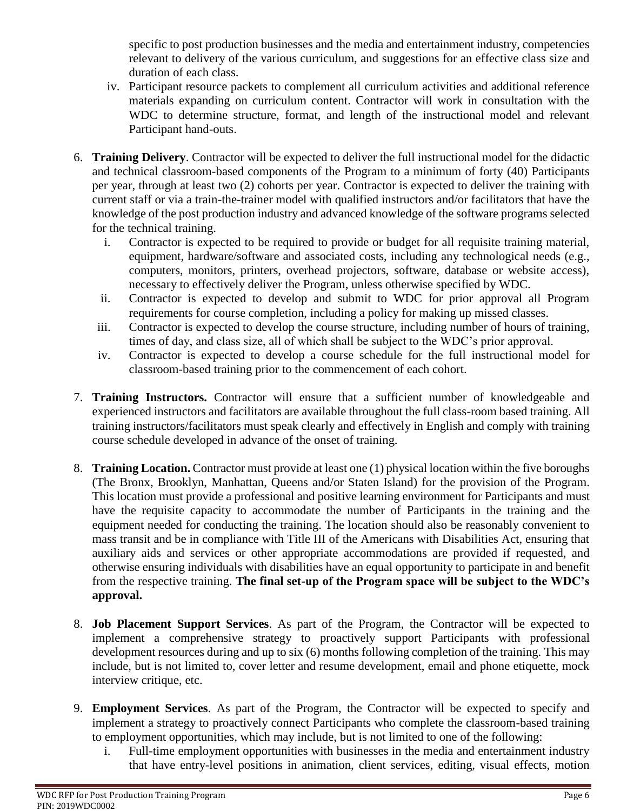specific to post production businesses and the media and entertainment industry, competencies relevant to delivery of the various curriculum, and suggestions for an effective class size and duration of each class.

- iv. Participant resource packets to complement all curriculum activities and additional reference materials expanding on curriculum content. Contractor will work in consultation with the WDC to determine structure, format, and length of the instructional model and relevant Participant hand-outs.
- 6. **Training Delivery**. Contractor will be expected to deliver the full instructional model for the didactic and technical classroom-based components of the Program to a minimum of forty (40) Participants per year, through at least two (2) cohorts per year. Contractor is expected to deliver the training with current staff or via a train-the-trainer model with qualified instructors and/or facilitators that have the knowledge of the post production industry and advanced knowledge of the software programs selected for the technical training.
	- i. Contractor is expected to be required to provide or budget for all requisite training material, equipment, hardware/software and associated costs, including any technological needs (e.g., computers, monitors, printers, overhead projectors, software, database or website access), necessary to effectively deliver the Program, unless otherwise specified by WDC.
	- ii. Contractor is expected to develop and submit to WDC for prior approval all Program requirements for course completion, including a policy for making up missed classes.
	- iii. Contractor is expected to develop the course structure, including number of hours of training, times of day, and class size, all of which shall be subject to the WDC's prior approval.
	- iv. Contractor is expected to develop a course schedule for the full instructional model for classroom-based training prior to the commencement of each cohort.
- 7. **Training Instructors.** Contractor will ensure that a sufficient number of knowledgeable and experienced instructors and facilitators are available throughout the full class-room based training. All training instructors/facilitators must speak clearly and effectively in English and comply with training course schedule developed in advance of the onset of training.
- 8. **Training Location.** Contractor must provide at least one (1) physical location within the five boroughs (The Bronx, Brooklyn, Manhattan, Queens and/or Staten Island) for the provision of the Program. This location must provide a professional and positive learning environment for Participants and must have the requisite capacity to accommodate the number of Participants in the training and the equipment needed for conducting the training. The location should also be reasonably convenient to mass transit and be in compliance with Title III of the Americans with Disabilities Act, ensuring that auxiliary aids and services or other appropriate accommodations are provided if requested, and otherwise ensuring individuals with disabilities have an equal opportunity to participate in and benefit from the respective training. **The final set-up of the Program space will be subject to the WDC's approval.**
- 8. **Job Placement Support Services**. As part of the Program, the Contractor will be expected to implement a comprehensive strategy to proactively support Participants with professional development resources during and up to six (6) months following completion of the training. This may include, but is not limited to, cover letter and resume development, email and phone etiquette, mock interview critique, etc.
- 9. **Employment Services**. As part of the Program, the Contractor will be expected to specify and implement a strategy to proactively connect Participants who complete the classroom-based training to employment opportunities, which may include, but is not limited to one of the following:
	- i. Full-time employment opportunities with businesses in the media and entertainment industry that have entry-level positions in animation, client services, editing, visual effects, motion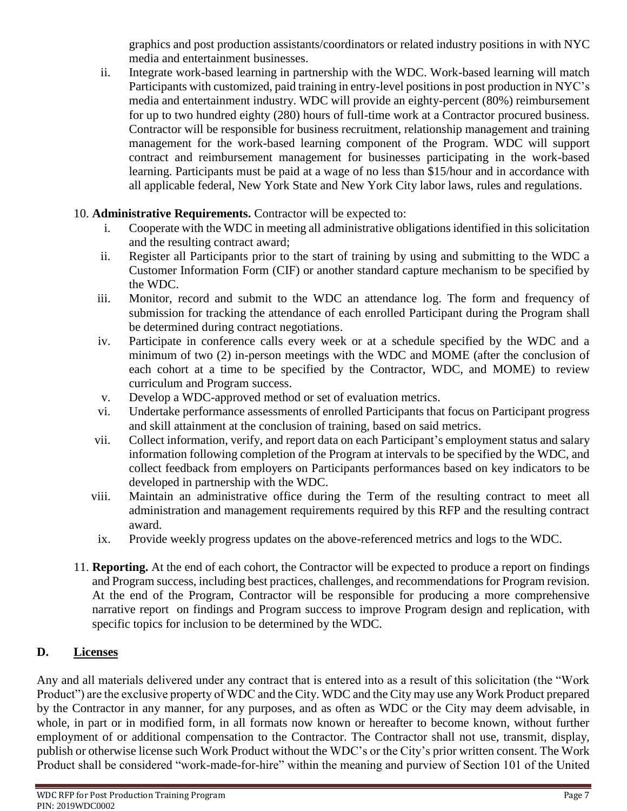graphics and post production assistants/coordinators or related industry positions in with NYC media and entertainment businesses.

ii. Integrate work-based learning in partnership with the WDC. Work-based learning will match Participants with customized, paid training in entry-level positions in post production in NYC's media and entertainment industry. WDC will provide an eighty-percent (80%) reimbursement for up to two hundred eighty (280) hours of full-time work at a Contractor procured business. Contractor will be responsible for business recruitment, relationship management and training management for the work-based learning component of the Program. WDC will support contract and reimbursement management for businesses participating in the work-based learning. Participants must be paid at a wage of no less than \$15/hour and in accordance with all applicable federal, New York State and New York City labor laws, rules and regulations.

# 10. **Administrative Requirements.** Contractor will be expected to:

- i. Cooperate with the WDC in meeting all administrative obligations identified in this solicitation and the resulting contract award;
- ii. Register all Participants prior to the start of training by using and submitting to the WDC a Customer Information Form (CIF) or another standard capture mechanism to be specified by the WDC.
- iii. Monitor, record and submit to the WDC an attendance log. The form and frequency of submission for tracking the attendance of each enrolled Participant during the Program shall be determined during contract negotiations.
- iv. Participate in conference calls every week or at a schedule specified by the WDC and a minimum of two (2) in-person meetings with the WDC and MOME (after the conclusion of each cohort at a time to be specified by the Contractor, WDC, and MOME) to review curriculum and Program success.
- v. Develop a WDC-approved method or set of evaluation metrics.
- vi. Undertake performance assessments of enrolled Participants that focus on Participant progress and skill attainment at the conclusion of training, based on said metrics.
- vii. Collect information, verify, and report data on each Participant's employment status and salary information following completion of the Program at intervals to be specified by the WDC, and collect feedback from employers on Participants performances based on key indicators to be developed in partnership with the WDC.
- viii. Maintain an administrative office during the Term of the resulting contract to meet all administration and management requirements required by this RFP and the resulting contract award.
- ix. Provide weekly progress updates on the above-referenced metrics and logs to the WDC.
- 11. **Reporting.** At the end of each cohort, the Contractor will be expected to produce a report on findings and Program success, including best practices, challenges, and recommendations for Program revision. At the end of the Program, Contractor will be responsible for producing a more comprehensive narrative report on findings and Program success to improve Program design and replication, with specific topics for inclusion to be determined by the WDC.

# **D. Licenses**

Any and all materials delivered under any contract that is entered into as a result of this solicitation (the "Work Product") are the exclusive property of WDC and the City. WDC and the City may use any Work Product prepared by the Contractor in any manner, for any purposes, and as often as WDC or the City may deem advisable, in whole, in part or in modified form, in all formats now known or hereafter to become known, without further employment of or additional compensation to the Contractor. The Contractor shall not use, transmit, display, publish or otherwise license such Work Product without the WDC's or the City's prior written consent. The Work Product shall be considered "work-made-for-hire" within the meaning and purview of Section 101 of the United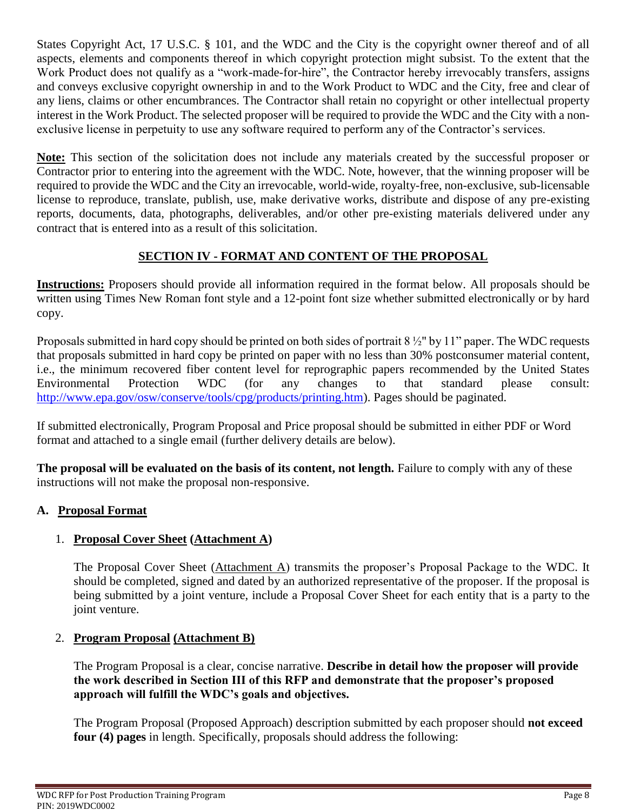States Copyright Act, 17 U.S.C. § 101, and the WDC and the City is the copyright owner thereof and of all aspects, elements and components thereof in which copyright protection might subsist. To the extent that the Work Product does not qualify as a "work-made-for-hire", the Contractor hereby irrevocably transfers, assigns and conveys exclusive copyright ownership in and to the Work Product to WDC and the City, free and clear of any liens, claims or other encumbrances. The Contractor shall retain no copyright or other intellectual property interest in the Work Product. The selected proposer will be required to provide the WDC and the City with a nonexclusive license in perpetuity to use any software required to perform any of the Contractor's services.

**Note:** This section of the solicitation does not include any materials created by the successful proposer or Contractor prior to entering into the agreement with the WDC. Note, however, that the winning proposer will be required to provide the WDC and the City an irrevocable, world-wide, royalty-free, non-exclusive, sub-licensable license to reproduce, translate, publish, use, make derivative works, distribute and dispose of any pre-existing reports, documents, data, photographs, deliverables, and/or other pre-existing materials delivered under any contract that is entered into as a result of this solicitation.

# **SECTION IV - FORMAT AND CONTENT OF THE PROPOSAL**

**Instructions:** Proposers should provide all information required in the format below. All proposals should be written using Times New Roman font style and a 12-point font size whether submitted electronically or by hard copy.

Proposals submitted in hard copy should be printed on both sides of portrait 8 ½" by 11" paper. The WDC requests that proposals submitted in hard copy be printed on paper with no less than 30% postconsumer material content, i.e., the minimum recovered fiber content level for reprographic papers recommended by the United States Environmental Protection WDC (for any changes to that standard please consult: [http://www.epa.gov/osw/conserve/tools/cpg/products/printing.htm\)](http://www.epa.gov/osw/conserve/tools/cpg/products/printing.htm). Pages should be paginated.

If submitted electronically, Program Proposal and Price proposal should be submitted in either PDF or Word format and attached to a single email (further delivery details are below).

**The proposal will be evaluated on the basis of its content, not length.** Failure to comply with any of these instructions will not make the proposal non-responsive.

# **A. Proposal Format**

## 1. **Proposal Cover Sheet (Attachment A)**

The Proposal Cover Sheet (Attachment A) transmits the proposer's Proposal Package to the WDC. It should be completed, signed and dated by an authorized representative of the proposer. If the proposal is being submitted by a joint venture, include a Proposal Cover Sheet for each entity that is a party to the joint venture.

## 2. **Program Proposal (Attachment B)**

The Program Proposal is a clear, concise narrative. **Describe in detail how the proposer will provide the work described in Section III of this RFP and demonstrate that the proposer's proposed approach will fulfill the WDC's goals and objectives.** 

The Program Proposal (Proposed Approach) description submitted by each proposer should **not exceed four (4) pages** in length. Specifically, proposals should address the following: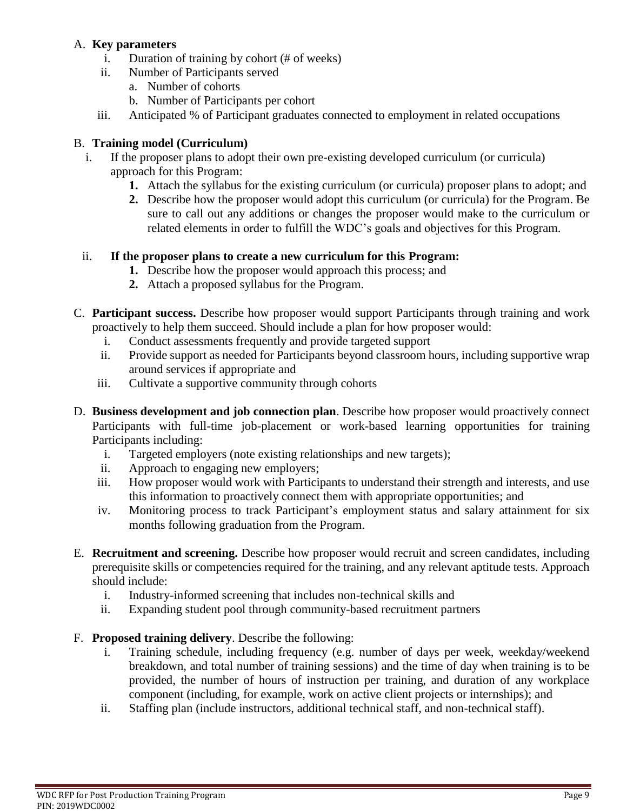### A. **Key parameters**

- i. Duration of training by cohort (# of weeks)
- ii. Number of Participants served
	- a. Number of cohorts
	- b. Number of Participants per cohort
- iii. Anticipated % of Participant graduates connected to employment in related occupations

## B. **Training model (Curriculum)**

- i. If the proposer plans to adopt their own pre-existing developed curriculum (or curricula) approach for this Program:
	- **1.** Attach the syllabus for the existing curriculum (or curricula) proposer plans to adopt; and
	- **2.** Describe how the proposer would adopt this curriculum (or curricula) for the Program. Be sure to call out any additions or changes the proposer would make to the curriculum or related elements in order to fulfill the WDC's goals and objectives for this Program.

## ii. **If the proposer plans to create a new curriculum for this Program:**

- **1.** Describe how the proposer would approach this process; and
- **2.** Attach a proposed syllabus for the Program.
- C. **Participant success.** Describe how proposer would support Participants through training and work proactively to help them succeed. Should include a plan for how proposer would:
	- i. Conduct assessments frequently and provide targeted support
	- ii. Provide support as needed for Participants beyond classroom hours, including supportive wrap around services if appropriate and
	- iii. Cultivate a supportive community through cohorts
- D. **Business development and job connection plan**. Describe how proposer would proactively connect Participants with full-time job-placement or work-based learning opportunities for training Participants including:
	- i. Targeted employers (note existing relationships and new targets);
	- ii. Approach to engaging new employers;
	- iii. How proposer would work with Participants to understand their strength and interests, and use this information to proactively connect them with appropriate opportunities; and
	- iv. Monitoring process to track Participant's employment status and salary attainment for six months following graduation from the Program.
- E. **Recruitment and screening.** Describe how proposer would recruit and screen candidates, including prerequisite skills or competencies required for the training, and any relevant aptitude tests. Approach should include:
	- i. Industry-informed screening that includes non-technical skills and
	- ii. Expanding student pool through community-based recruitment partners
- F. **Proposed training delivery**. Describe the following:
	- i. Training schedule, including frequency (e.g. number of days per week, weekday/weekend breakdown, and total number of training sessions) and the time of day when training is to be provided, the number of hours of instruction per training, and duration of any workplace component (including, for example, work on active client projects or internships); and
	- ii. Staffing plan (include instructors, additional technical staff, and non-technical staff).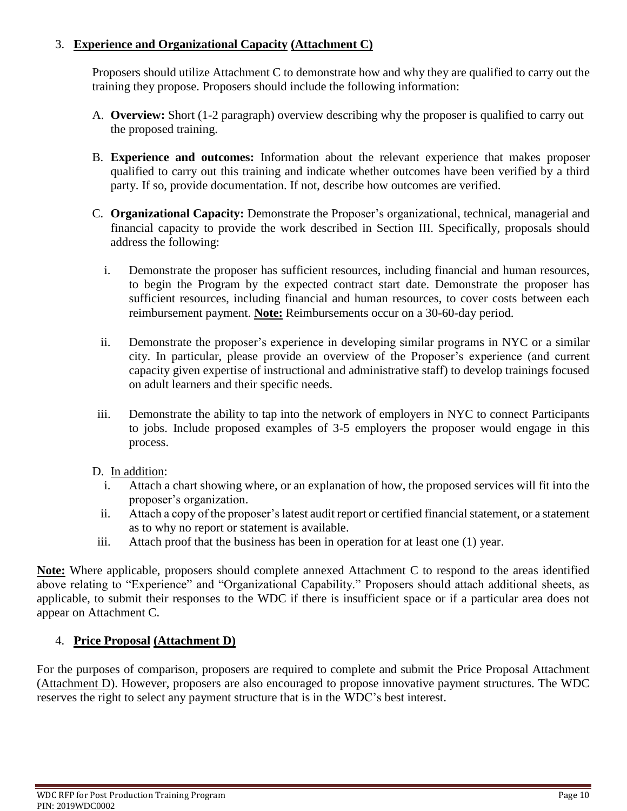## 3. **Experience and Organizational Capacity (Attachment C)**

Proposers should utilize Attachment C to demonstrate how and why they are qualified to carry out the training they propose. Proposers should include the following information:

- A. **Overview:** Short (1-2 paragraph) overview describing why the proposer is qualified to carry out the proposed training.
- B. **Experience and outcomes:** Information about the relevant experience that makes proposer qualified to carry out this training and indicate whether outcomes have been verified by a third party. If so, provide documentation. If not, describe how outcomes are verified.
- C. **Organizational Capacity:** Demonstrate the Proposer's organizational, technical, managerial and financial capacity to provide the work described in Section III. Specifically, proposals should address the following:
	- i. Demonstrate the proposer has sufficient resources, including financial and human resources, to begin the Program by the expected contract start date. Demonstrate the proposer has sufficient resources, including financial and human resources, to cover costs between each reimbursement payment. **Note:** Reimbursements occur on a 30-60-day period.
	- ii. Demonstrate the proposer's experience in developing similar programs in NYC or a similar city. In particular, please provide an overview of the Proposer's experience (and current capacity given expertise of instructional and administrative staff) to develop trainings focused on adult learners and their specific needs.
- iii. Demonstrate the ability to tap into the network of employers in NYC to connect Participants to jobs. Include proposed examples of 3-5 employers the proposer would engage in this process.

## D. In addition:

- i. Attach a chart showing where, or an explanation of how, the proposed services will fit into the proposer's organization.
- ii. Attach a copy of the proposer's latest audit report or certified financial statement, or a statement as to why no report or statement is available.
- iii. Attach proof that the business has been in operation for at least one (1) year.

**Note:** Where applicable, proposers should complete annexed Attachment C to respond to the areas identified above relating to "Experience" and "Organizational Capability." Proposers should attach additional sheets, as applicable, to submit their responses to the WDC if there is insufficient space or if a particular area does not appear on Attachment C.

## 4. **Price Proposal (Attachment D)**

For the purposes of comparison, proposers are required to complete and submit the Price Proposal Attachment (Attachment D). However, proposers are also encouraged to propose innovative payment structures. The WDC reserves the right to select any payment structure that is in the WDC's best interest.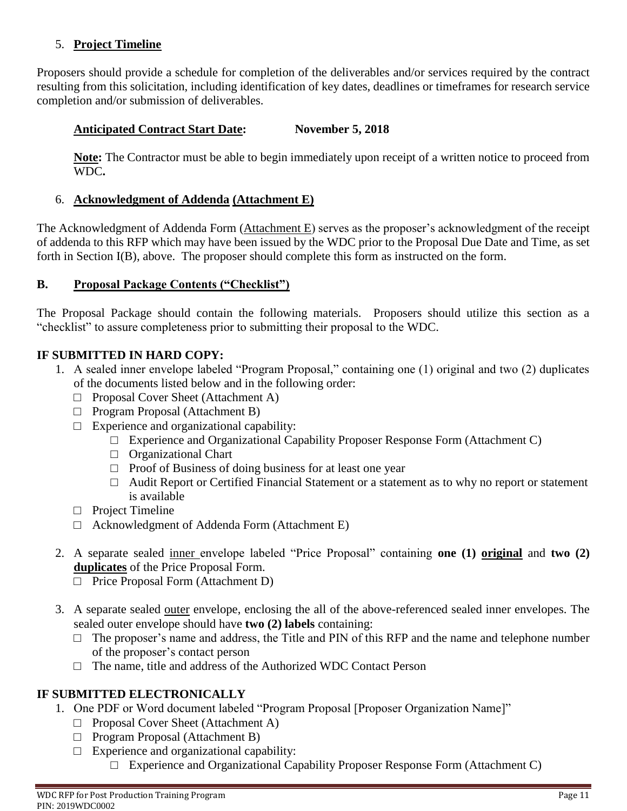## 5. **Project Timeline**

Proposers should provide a schedule for completion of the deliverables and/or services required by the contract resulting from this solicitation, including identification of key dates, deadlines or timeframes for research service completion and/or submission of deliverables.

### **Anticipated Contract Start Date: November 5, 2018**

**Note:** The Contractor must be able to begin immediately upon receipt of a written notice to proceed from WDC**.**

#### 6. **Acknowledgment of Addenda (Attachment E)**

The Acknowledgment of Addenda Form (Attachment E) serves as the proposer's acknowledgment of the receipt of addenda to this RFP which may have been issued by the WDC prior to the Proposal Due Date and Time, as set forth in Section I(B), above. The proposer should complete this form as instructed on the form.

### **B. Proposal Package Contents ("Checklist")**

The Proposal Package should contain the following materials. Proposers should utilize this section as a "checklist" to assure completeness prior to submitting their proposal to the WDC.

### **IF SUBMITTED IN HARD COPY:**

- 1. A sealed inner envelope labeled "Program Proposal," containing one (1) original and two (2) duplicates of the documents listed below and in the following order:
	- □ Proposal Cover Sheet (Attachment A)
	- □ Program Proposal (Attachment B)
	- $\Box$  Experience and organizational capability:
		- $\Box$  Experience and Organizational Capability Proposer Response Form (Attachment C)
		- □ Organizational Chart
		- $\Box$  Proof of Business of doing business for at least one year
		- □ Audit Report or Certified Financial Statement or a statement as to why no report or statement is available
	- □ Project Timeline
	- $\Box$  Acknowledgment of Addenda Form (Attachment E)
- 2. A separate sealed inner envelope labeled "Price Proposal" containing **one (1) original** and **two (2) duplicates** of the Price Proposal Form.
	- □ Price Proposal Form (Attachment D)
- 3. A separate sealed outer envelope, enclosing the all of the above-referenced sealed inner envelopes. The sealed outer envelope should have **two (2) labels** containing:
	- $\Box$  The proposer's name and address, the Title and PIN of this RFP and the name and telephone number of the proposer's contact person
	- $\Box$  The name, title and address of the Authorized WDC Contact Person

### **IF SUBMITTED ELECTRONICALLY**

- 1. One PDF or Word document labeled "Program Proposal [Proposer Organization Name]"
	- □ Proposal Cover Sheet (Attachment A)
	- □ Program Proposal (Attachment B)
	- $\Box$  Experience and organizational capability:
		- $\Box$  Experience and Organizational Capability Proposer Response Form (Attachment C)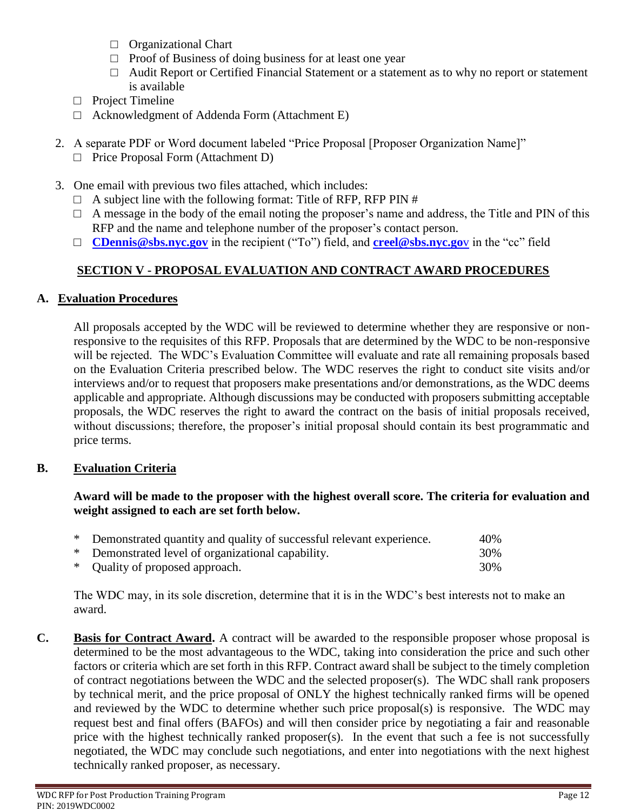- □ Organizational Chart
- $\Box$  Proof of Business of doing business for at least one year
- □ Audit Report or Certified Financial Statement or a statement as to why no report or statement is available
- □ Project Timeline
- $\Box$  Acknowledgment of Addenda Form (Attachment E)
- 2. A separate PDF or Word document labeled "Price Proposal [Proposer Organization Name]"
	- □ Price Proposal Form (Attachment D)
- 3. One email with previous two files attached, which includes:
	- $\Box$  A subject line with the following format: Title of RFP, RFP PIN #
	- $\Box$  A message in the body of the email noting the proposer's name and address, the Title and PIN of this RFP and the name and telephone number of the proposer's contact person.
	- □ **[CDennis@sbs.nyc.gov](mailto:CDennis@sbs.nyc.gov)** in the recipient ("To") field, and **[creel@sbs.nyc.go](mailto:creel@sbs.nyc.gov)**v in the "cc" field

# **SECTION V - PROPOSAL EVALUATION AND CONTRACT AWARD PROCEDURES**

### **A. Evaluation Procedures**

All proposals accepted by the WDC will be reviewed to determine whether they are responsive or nonresponsive to the requisites of this RFP. Proposals that are determined by the WDC to be non-responsive will be rejected. The WDC's Evaluation Committee will evaluate and rate all remaining proposals based on the Evaluation Criteria prescribed below. The WDC reserves the right to conduct site visits and/or interviews and/or to request that proposers make presentations and/or demonstrations, as the WDC deems applicable and appropriate. Although discussions may be conducted with proposers submitting acceptable proposals, the WDC reserves the right to award the contract on the basis of initial proposals received, without discussions; therefore, the proposer's initial proposal should contain its best programmatic and price terms.

### **B. Evaluation Criteria**

#### **Award will be made to the proposer with the highest overall score. The criteria for evaluation and weight assigned to each are set forth below.**

| * Demonstrated quantity and quality of successful relevant experience. | 40% |
|------------------------------------------------------------------------|-----|
| * Demonstrated level of organizational capability.                     | 30% |
| * Quality of proposed approach.                                        | 30% |

The WDC may, in its sole discretion, determine that it is in the WDC's best interests not to make an award.

**C. Basis for Contract Award.** A contract will be awarded to the responsible proposer whose proposal is determined to be the most advantageous to the WDC, taking into consideration the price and such other factors or criteria which are set forth in this RFP. Contract award shall be subject to the timely completion of contract negotiations between the WDC and the selected proposer $(s)$ . The WDC shall rank proposers by technical merit, and the price proposal of ONLY the highest technically ranked firms will be opened and reviewed by the WDC to determine whether such price proposal(s) is responsive. The WDC may request best and final offers (BAFOs) and will then consider price by negotiating a fair and reasonable price with the highest technically ranked proposer(s). In the event that such a fee is not successfully negotiated, the WDC may conclude such negotiations, and enter into negotiations with the next highest technically ranked proposer, as necessary.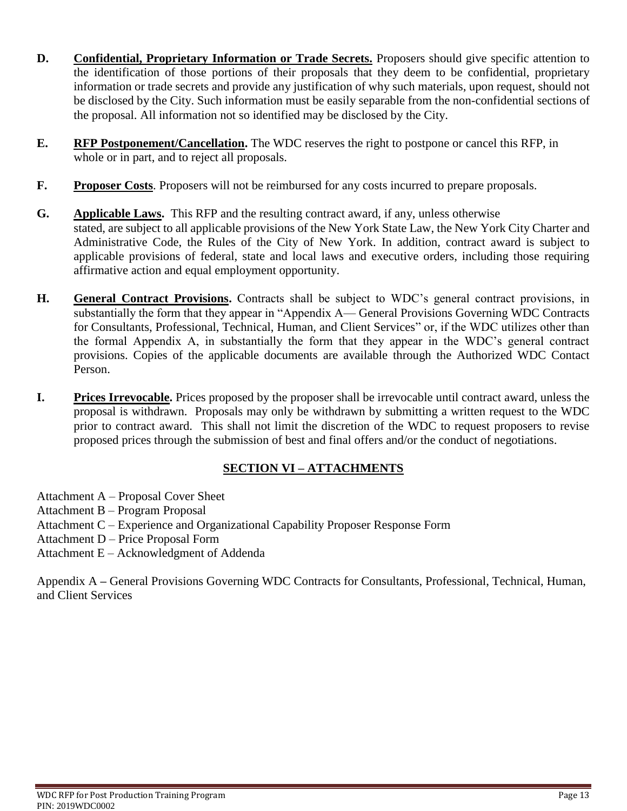- **D. Confidential, Proprietary Information or Trade Secrets.** Proposers should give specific attention to the identification of those portions of their proposals that they deem to be confidential, proprietary information or trade secrets and provide any justification of why such materials, upon request, should not be disclosed by the City. Such information must be easily separable from the non-confidential sections of the proposal. All information not so identified may be disclosed by the City.
- **E. RFP Postponement/Cancellation.** The WDC reserves the right to postpone or cancel this RFP, in whole or in part, and to reject all proposals.
- **F.** Proposer Costs. Proposers will not be reimbursed for any costs incurred to prepare proposals.
- **G. Applicable Laws.** This RFP and the resulting contract award, if any, unless otherwise stated, are subject to all applicable provisions of the New York State Law, the New York City Charter and Administrative Code, the Rules of the City of New York. In addition, contract award is subject to applicable provisions of federal, state and local laws and executive orders, including those requiring affirmative action and equal employment opportunity.
- **H. General Contract Provisions.** Contracts shall be subject to WDC's general contract provisions, in substantially the form that they appear in "Appendix A— General Provisions Governing WDC Contracts for Consultants, Professional, Technical, Human, and Client Services" or, if the WDC utilizes other than the formal Appendix A, in substantially the form that they appear in the WDC's general contract provisions. Copies of the applicable documents are available through the Authorized WDC Contact Person.
- **I.** Prices Irrevocable. Prices proposed by the proposer shall be irrevocable until contract award, unless the proposal is withdrawn. Proposals may only be withdrawn by submitting a written request to the WDC prior to contract award. This shall not limit the discretion of the WDC to request proposers to revise proposed prices through the submission of best and final offers and/or the conduct of negotiations.

## **SECTION VI – ATTACHMENTS**

Attachment A – Proposal Cover Sheet

- Attachment B Program Proposal
- Attachment C Experience and Organizational Capability Proposer Response Form
- Attachment D Price Proposal Form
- Attachment E Acknowledgment of Addenda

Appendix A **–** General Provisions Governing WDC Contracts for Consultants, Professional, Technical, Human, and Client Services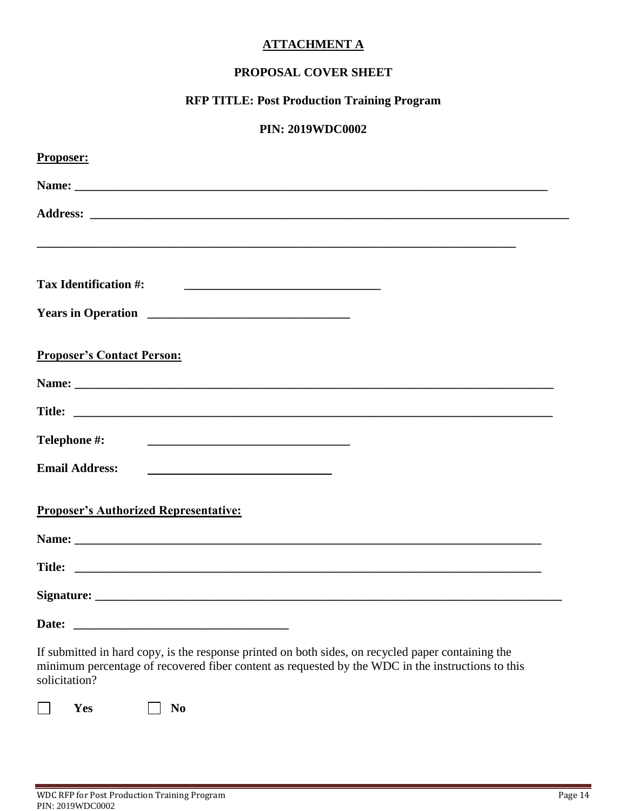### **ATTACHMENT A**

## **PROPOSAL COVER SHEET**

# **RFP TITLE: Post Production Training Program**

### **PIN: 2019WDC0002**

| Proposer:                                                                                                                                                                                                                |
|--------------------------------------------------------------------------------------------------------------------------------------------------------------------------------------------------------------------------|
|                                                                                                                                                                                                                          |
|                                                                                                                                                                                                                          |
|                                                                                                                                                                                                                          |
|                                                                                                                                                                                                                          |
| <b>Tax Identification #:</b>                                                                                                                                                                                             |
|                                                                                                                                                                                                                          |
|                                                                                                                                                                                                                          |
| <b>Proposer's Contact Person:</b>                                                                                                                                                                                        |
|                                                                                                                                                                                                                          |
|                                                                                                                                                                                                                          |
| Telephone #:                                                                                                                                                                                                             |
| <b>Email Address:</b>                                                                                                                                                                                                    |
|                                                                                                                                                                                                                          |
| <b>Proposer's Authorized Representative:</b>                                                                                                                                                                             |
|                                                                                                                                                                                                                          |
|                                                                                                                                                                                                                          |
|                                                                                                                                                                                                                          |
| Date:                                                                                                                                                                                                                    |
| If submitted in hard copy, is the response printed on both sides, on recycled paper containing the<br>minimum percentage of recovered fiber content as requested by the WDC in the instructions to this<br>solicitation? |

**12** Yes **No**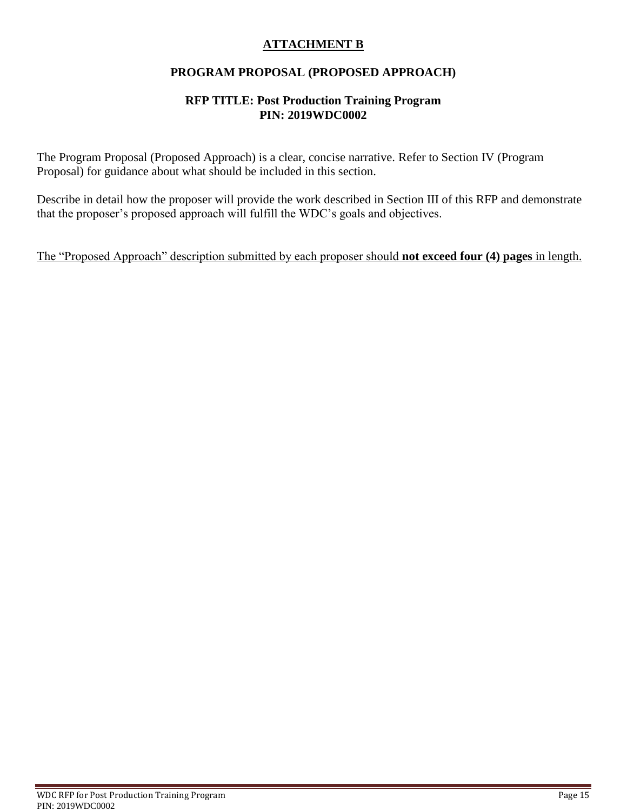## **ATTACHMENT B**

## **PROGRAM PROPOSAL (PROPOSED APPROACH)**

#### **RFP TITLE: Post Production Training Program PIN: 2019WDC0002**

The Program Proposal (Proposed Approach) is a clear, concise narrative. Refer to Section IV (Program Proposal) for guidance about what should be included in this section.

Describe in detail how the proposer will provide the work described in Section III of this RFP and demonstrate that the proposer's proposed approach will fulfill the WDC's goals and objectives.

The "Proposed Approach" description submitted by each proposer should **not exceed four (4) pages** in length.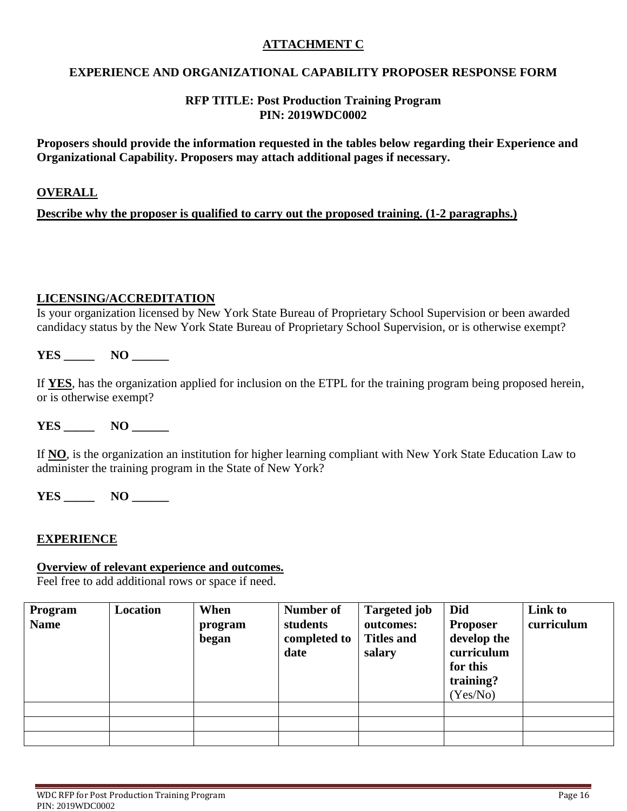### **ATTACHMENT C**

### **EXPERIENCE AND ORGANIZATIONAL CAPABILITY PROPOSER RESPONSE FORM**

#### **RFP TITLE: Post Production Training Program PIN: 2019WDC0002**

**Proposers should provide the information requested in the tables below regarding their Experience and Organizational Capability. Proposers may attach additional pages if necessary.** 

#### **OVERALL**

**Describe why the proposer is qualified to carry out the proposed training. (1-2 paragraphs.)**

#### **LICENSING/ACCREDITATION**

Is your organization licensed by New York State Bureau of Proprietary School Supervision or been awarded candidacy status by the New York State Bureau of Proprietary School Supervision, or is otherwise exempt?

**YES \_\_\_\_\_ NO \_\_\_\_\_\_**

If **YES**, has the organization applied for inclusion on the ETPL for the training program being proposed herein, or is otherwise exempt?

**YES \_\_\_\_\_ NO \_\_\_\_\_\_**

If **NO**, is the organization an institution for higher learning compliant with New York State Education Law to administer the training program in the State of New York?

**YES \_\_\_\_\_ NO \_\_\_\_\_\_**

#### **EXPERIENCE**

#### **Overview of relevant experience and outcomes.**

Feel free to add additional rows or space if need.

| Program<br><b>Name</b> | <b>Location</b> | When<br>program<br>began | Number of<br>students<br>completed to<br>date | <b>Targeted job</b><br>outcomes:<br><b>Titles and</b><br>salary | Did<br><b>Proposer</b><br>develop the<br>curriculum<br>for this<br>training?<br>(Yes/No) | Link to<br>curriculum |
|------------------------|-----------------|--------------------------|-----------------------------------------------|-----------------------------------------------------------------|------------------------------------------------------------------------------------------|-----------------------|
|                        |                 |                          |                                               |                                                                 |                                                                                          |                       |
|                        |                 |                          |                                               |                                                                 |                                                                                          |                       |
|                        |                 |                          |                                               |                                                                 |                                                                                          |                       |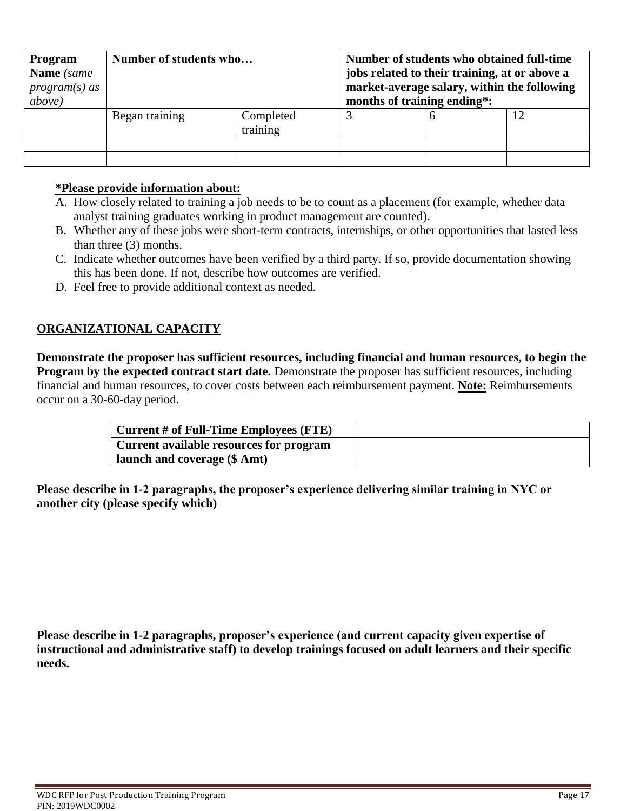| Program<br>Name (same<br>$program(s)$ as<br>above) | Number of students who |                       | Number of students who obtained full-time<br>jobs related to their training, at or above a<br>market-average salary, within the following<br>months of training ending*: |  |  |
|----------------------------------------------------|------------------------|-----------------------|--------------------------------------------------------------------------------------------------------------------------------------------------------------------------|--|--|
|                                                    | Began training         | Completed<br>training |                                                                                                                                                                          |  |  |
|                                                    |                        |                       |                                                                                                                                                                          |  |  |
|                                                    |                        |                       |                                                                                                                                                                          |  |  |

### **\*Please provide information about:**

- A. How closely related to training a job needs to be to count as a placement (for example, whether data analyst training graduates working in product management are counted).
- B. Whether any of these jobs were short-term contracts, internships, or other opportunities that lasted less than three (3) months.
- C. Indicate whether outcomes have been verified by a third party. If so, provide documentation showing this has been done. If not, describe how outcomes are verified.
- D. Feel free to provide additional context as needed.

## **ORGANIZATIONAL CAPACITY**

**Demonstrate the proposer has sufficient resources, including financial and human resources, to begin the Program by the expected contract start date.** Demonstrate the proposer has sufficient resources, including financial and human resources, to cover costs between each reimbursement payment. **Note:** Reimbursements occur on a 30-60-day period.

| $\vert$ Current # of Full-Time Employees (FTE) |  |
|------------------------------------------------|--|
| Current available resources for program        |  |
| all launch and coverage (\$ Amt)               |  |

**Please describe in 1-2 paragraphs, the proposer's experience delivering similar training in NYC or another city (please specify which)**

**Please describe in 1-2 paragraphs, proposer's experience (and current capacity given expertise of instructional and administrative staff) to develop trainings focused on adult learners and their specific needs.**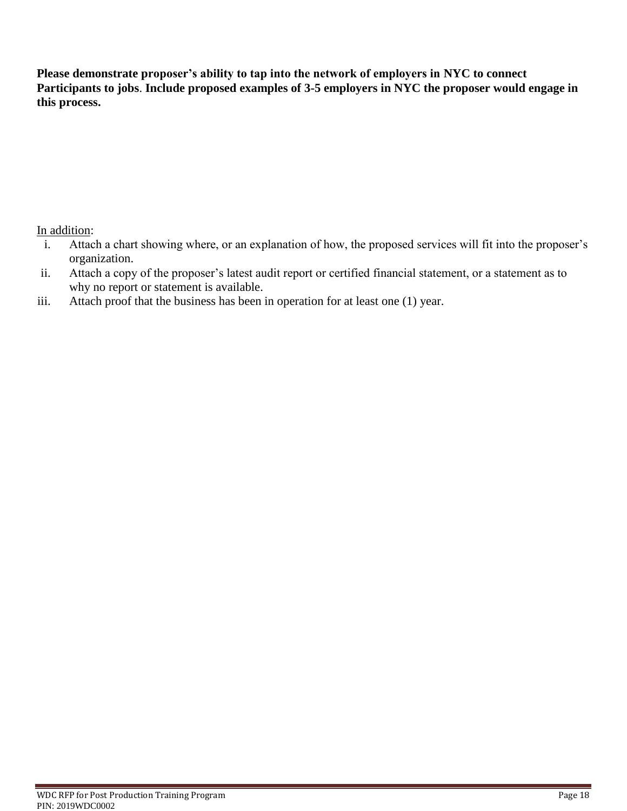**Please demonstrate proposer's ability to tap into the network of employers in NYC to connect Participants to jobs**. **Include proposed examples of 3-5 employers in NYC the proposer would engage in this process.**

In addition:

- i. Attach a chart showing where, or an explanation of how, the proposed services will fit into the proposer's organization.
- ii. Attach a copy of the proposer's latest audit report or certified financial statement, or a statement as to why no report or statement is available.
- iii. Attach proof that the business has been in operation for at least one (1) year.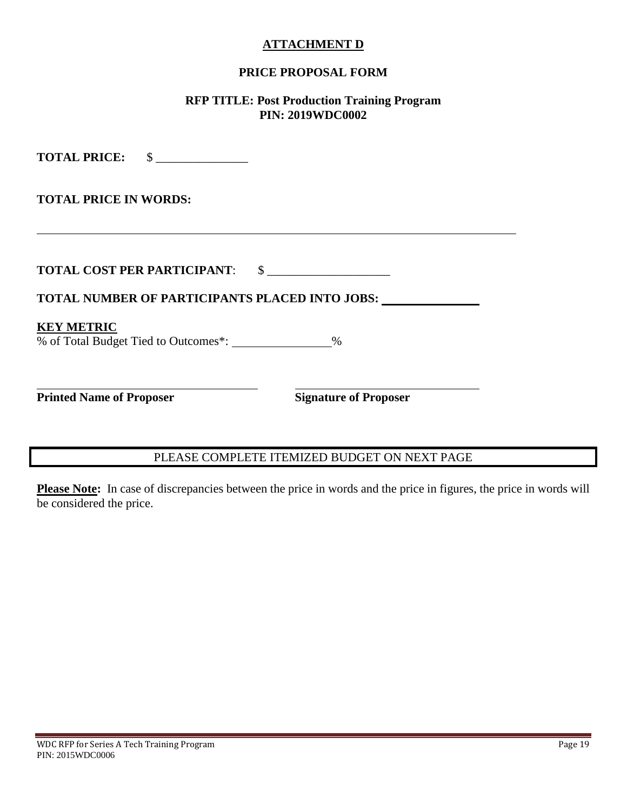#### **ATTACHMENT D**

### **PRICE PROPOSAL FORM**

#### **RFP TITLE: Post Production Training Program PIN: 2019WDC0002**

**TOTAL PRICE:** \$ \_\_\_\_\_\_\_\_\_\_\_\_\_\_\_ **TOTAL PRICE IN WORDS: TOTAL COST PER PARTICIPANT:** \$ **TOTAL NUMBER OF PARTICIPANTS PLACED INTO JOBS: KEY METRIC** % of Total Budget Tied to Outcomes\*: \_\_\_\_\_\_\_\_\_\_\_\_\_\_%  $\overline{a}$ **Printed Name of Proposer Signature of Proposer** 

## PLEASE COMPLETE ITEMIZED BUDGET ON NEXT PAGE

Please Note: In case of discrepancies between the price in words and the price in figures, the price in words will be considered the price.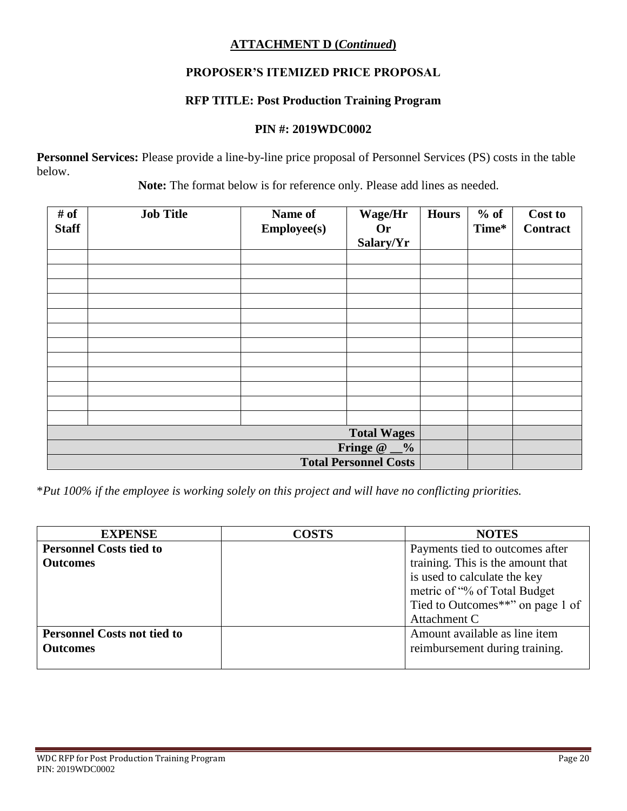## **ATTACHMENT D (***Continued***)**

## **PROPOSER'S ITEMIZED PRICE PROPOSAL**

## **RFP TITLE: Post Production Training Program**

#### **PIN #: 2019WDC0002**

**Personnel Services:** Please provide a line-by-line price proposal of Personnel Services (PS) costs in the table below.

 **Note:** The format below is for reference only. Please add lines as needed.

| # of<br><b>Staff</b> | <b>Job Title</b>             | Name of<br><b>Employee(s)</b> | Wage/Hr<br><b>Or</b><br>Salary/Yr | <b>Hours</b> | $%$ of<br>Time* | Cost to<br><b>Contract</b> |
|----------------------|------------------------------|-------------------------------|-----------------------------------|--------------|-----------------|----------------------------|
|                      |                              |                               |                                   |              |                 |                            |
|                      |                              |                               |                                   |              |                 |                            |
|                      |                              |                               |                                   |              |                 |                            |
|                      |                              |                               |                                   |              |                 |                            |
|                      |                              |                               |                                   |              |                 |                            |
|                      |                              |                               |                                   |              |                 |                            |
|                      |                              |                               |                                   |              |                 |                            |
|                      |                              |                               |                                   |              |                 |                            |
|                      |                              |                               |                                   |              |                 |                            |
|                      |                              |                               |                                   |              |                 |                            |
|                      |                              |                               |                                   |              |                 |                            |
|                      |                              |                               |                                   |              |                 |                            |
|                      | <b>Total Wages</b>           |                               |                                   |              |                 |                            |
|                      | Fringe $@$ $@$               |                               |                                   |              |                 |                            |
|                      | <b>Total Personnel Costs</b> |                               |                                   |              |                 |                            |

\**Put 100% if the employee is working solely on this project and will have no conflicting priorities.*

| <b>EXPENSE</b>                     | <b>COSTS</b> | <b>NOTES</b>                      |
|------------------------------------|--------------|-----------------------------------|
| <b>Personnel Costs tied to</b>     |              | Payments tied to outcomes after   |
| <b>Outcomes</b>                    |              | training. This is the amount that |
|                                    |              | is used to calculate the key      |
|                                    |              | metric of "% of Total Budget"     |
|                                    |              | Tied to Outcomes**" on page 1 of  |
|                                    |              | Attachment C                      |
| <b>Personnel Costs not tied to</b> |              | Amount available as line item     |
| <b>Outcomes</b>                    |              | reimbursement during training.    |
|                                    |              |                                   |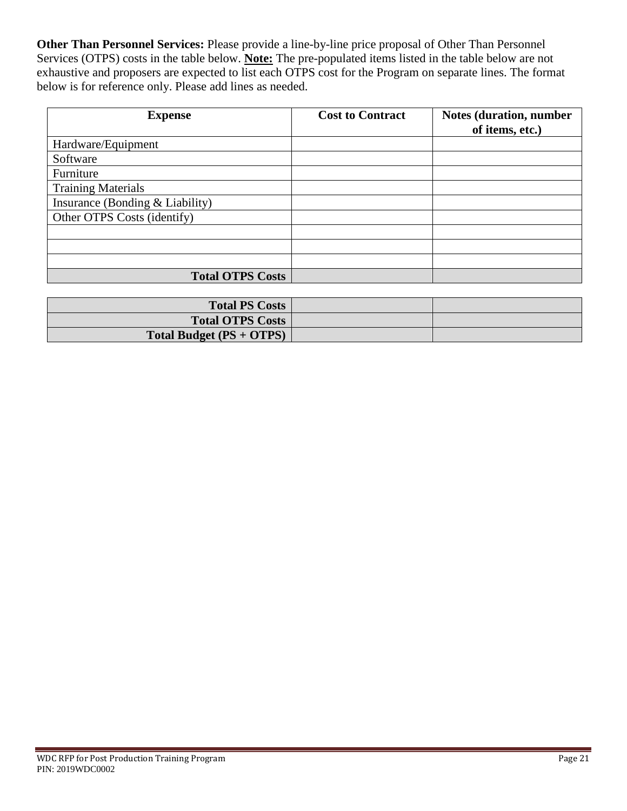**Other Than Personnel Services:** Please provide a line-by-line price proposal of Other Than Personnel Services (OTPS) costs in the table below. **Note:** The pre-populated items listed in the table below are not exhaustive and proposers are expected to list each OTPS cost for the Program on separate lines. The format below is for reference only. Please add lines as needed.

| <b>Expense</b>                  | <b>Cost to Contract</b> | <b>Notes (duration, number</b><br>of items, etc.) |
|---------------------------------|-------------------------|---------------------------------------------------|
| Hardware/Equipment              |                         |                                                   |
| Software                        |                         |                                                   |
| Furniture                       |                         |                                                   |
| <b>Training Materials</b>       |                         |                                                   |
| Insurance (Bonding & Liability) |                         |                                                   |
| Other OTPS Costs (identify)     |                         |                                                   |
|                                 |                         |                                                   |
|                                 |                         |                                                   |
|                                 |                         |                                                   |
| <b>Total OTPS Costs</b>         |                         |                                                   |

| <b>Total PS Costs</b>    |  |
|--------------------------|--|
| <b>Total OTPS Costs</b>  |  |
| Total Budget (PS + OTPS) |  |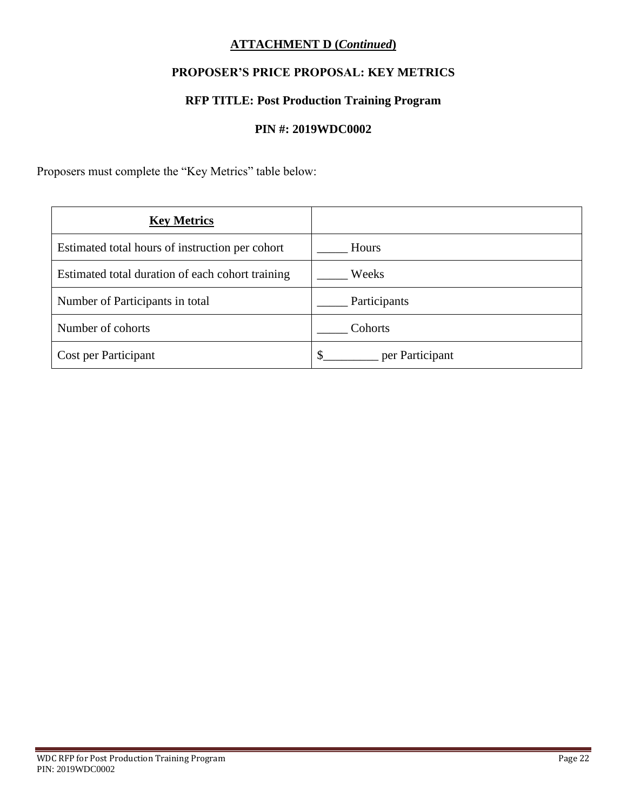## **ATTACHMENT D (***Continued***)**

# **PROPOSER'S PRICE PROPOSAL: KEY METRICS**

## **RFP TITLE: Post Production Training Program**

#### **PIN #: 2019WDC0002**

Proposers must complete the "Key Metrics" table below:

| <b>Key Metrics</b>                               |                 |
|--------------------------------------------------|-----------------|
| Estimated total hours of instruction per cohort  | Hours           |
| Estimated total duration of each cohort training | Weeks           |
| Number of Participants in total                  | Participants    |
| Number of cohorts                                | Cohorts         |
| Cost per Participant                             | per Participant |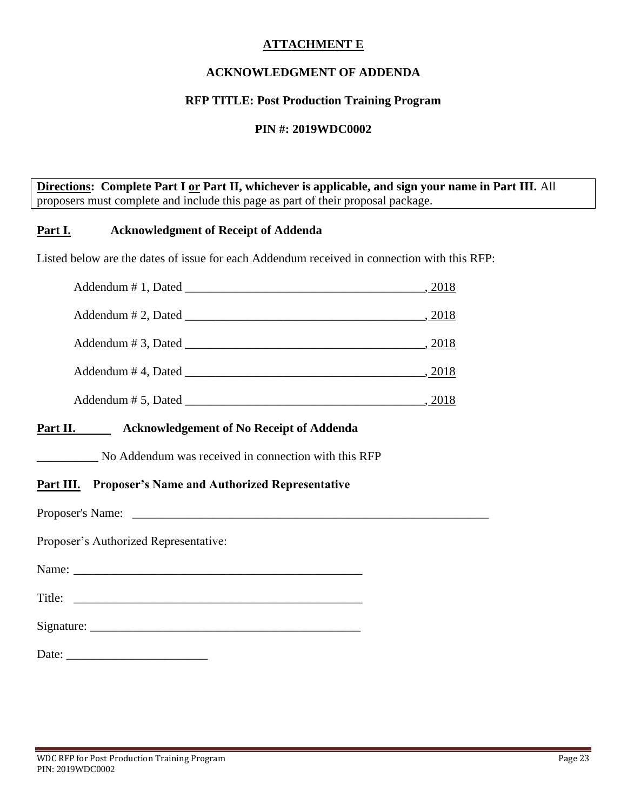### **ATTACHMENT E**

## **ACKNOWLEDGMENT OF ADDENDA**

### **RFP TITLE: Post Production Training Program**

#### **PIN #: 2019WDC0002**

**Directions: Complete Part I or Part II, whichever is applicable, and sign your name in Part III.** All proposers must complete and include this page as part of their proposal package.

#### **Part I. Acknowledgment of Receipt of Addenda**

Listed below are the dates of issue for each Addendum received in connection with this RFP:

|                    | $\_$ , 2018 |
|--------------------|-------------|
| Addendum #3, Dated | , 2018      |
| Addendum #4, Dated | $\_$ , 2018 |
| Addendum #5, Dated |             |

#### **Part II. Acknowledgement of No Receipt of Addenda**

\_\_\_\_\_\_\_\_\_\_ No Addendum was received in connection with this RFP

### **Part III. Proposer's Name and Authorized Representative**

Proposer's Name:

Proposer's Authorized Representative:

Name:

Title: \_\_\_\_\_\_\_\_\_\_\_\_\_\_\_\_\_\_\_\_\_\_\_\_\_\_\_\_\_\_\_\_\_\_\_\_\_\_\_\_\_\_\_\_\_\_\_

Signature:

Date: